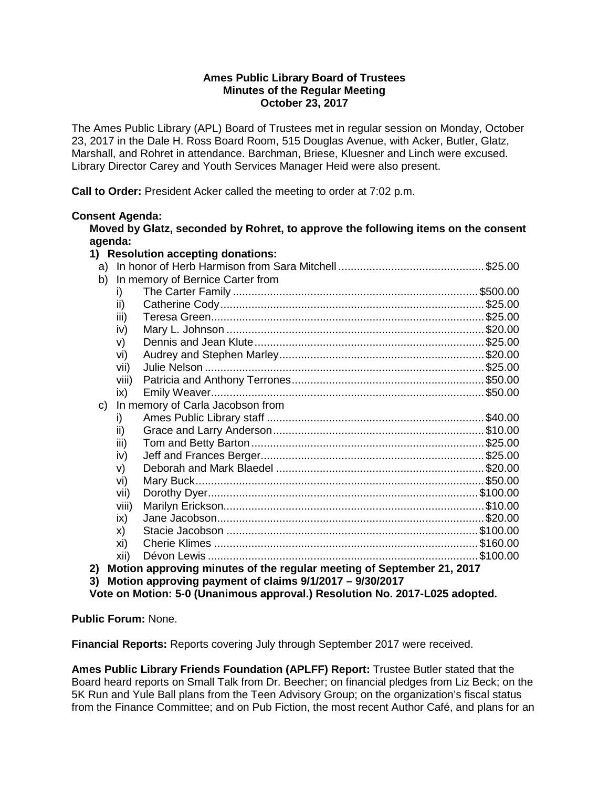### **Ames Public Library Board of Trustees Minutes of the Regular Meeting October 23, 2017**

The Ames Public Library (APL) Board of Trustees met in regular session on Monday, October 23, 2017 in the Dale H. Ross Board Room, 515 Douglas Avenue, with Acker, Butler, Glatz, Marshall, and Rohret in attendance. Barchman, Briese, Kluesner and Linch were excused. Library Director Carey and Youth Services Manager Heid were also present.

**Call to Order:** President Acker called the meeting to order at 7:02 p.m.

# **Consent Agenda:**

**Moved by Glatz, seconded by Rohret, to approve the following items on the consent agenda:**

| 1) Resolution accepting donations:                            |                                                                       |                                  |  |  |
|---------------------------------------------------------------|-----------------------------------------------------------------------|----------------------------------|--|--|
|                                                               |                                                                       |                                  |  |  |
| b)                                                            | In memory of Bernice Carter from                                      |                                  |  |  |
|                                                               | i)                                                                    |                                  |  |  |
|                                                               | ii)                                                                   |                                  |  |  |
|                                                               | iii)                                                                  |                                  |  |  |
|                                                               | iv)                                                                   |                                  |  |  |
|                                                               | V)                                                                    |                                  |  |  |
|                                                               | vi)                                                                   |                                  |  |  |
|                                                               | vii)                                                                  |                                  |  |  |
|                                                               | viii)                                                                 |                                  |  |  |
|                                                               | ix)                                                                   |                                  |  |  |
| $\mathsf{C}$                                                  |                                                                       | In memory of Carla Jacobson from |  |  |
|                                                               | i)                                                                    |                                  |  |  |
|                                                               | ii)                                                                   |                                  |  |  |
|                                                               | iii)                                                                  |                                  |  |  |
|                                                               | iv)                                                                   |                                  |  |  |
|                                                               | V)                                                                    |                                  |  |  |
|                                                               | vi)                                                                   |                                  |  |  |
|                                                               | vii)                                                                  |                                  |  |  |
|                                                               | viii)                                                                 |                                  |  |  |
|                                                               | ix)                                                                   |                                  |  |  |
|                                                               | X)                                                                    |                                  |  |  |
|                                                               | xi)                                                                   |                                  |  |  |
|                                                               | xii)                                                                  |                                  |  |  |
| 2)                                                            | Motion approving minutes of the regular meeting of September 21, 2017 |                                  |  |  |
| 3)<br>Motion approving payment of claims 9/1/2017 - 9/30/2017 |                                                                       |                                  |  |  |

**Vote on Motion: 5-0 (Unanimous approval.) Resolution No. 2017-L025 adopted.**

**Public Forum:** None.

**Financial Reports:** Reports covering July through September 2017 were received.

**Ames Public Library Friends Foundation (APLFF) Report:** Trustee Butler stated that the Board heard reports on Small Talk from Dr. Beecher; on financial pledges from Liz Beck; on the 5K Run and Yule Ball plans from the Teen Advisory Group; on the organization's fiscal status from the Finance Committee; and on Pub Fiction, the most recent Author Café, and plans for an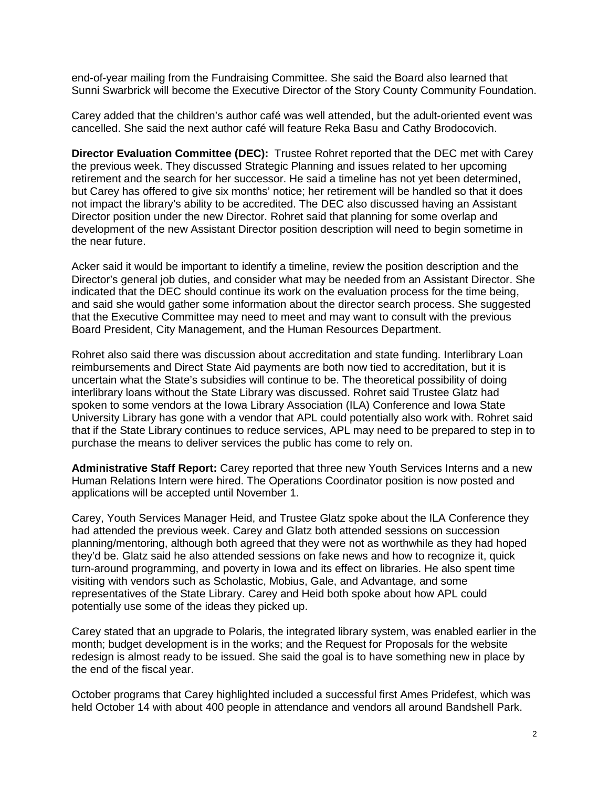end-of-year mailing from the Fundraising Committee. She said the Board also learned that Sunni Swarbrick will become the Executive Director of the Story County Community Foundation.

Carey added that the children's author café was well attended, but the adult-oriented event was cancelled. She said the next author café will feature Reka Basu and Cathy Brodocovich.

**Director Evaluation Committee (DEC):** Trustee Rohret reported that the DEC met with Carey the previous week. They discussed Strategic Planning and issues related to her upcoming retirement and the search for her successor. He said a timeline has not yet been determined, but Carey has offered to give six months' notice; her retirement will be handled so that it does not impact the library's ability to be accredited. The DEC also discussed having an Assistant Director position under the new Director. Rohret said that planning for some overlap and development of the new Assistant Director position description will need to begin sometime in the near future.

Acker said it would be important to identify a timeline, review the position description and the Director's general job duties, and consider what may be needed from an Assistant Director. She indicated that the DEC should continue its work on the evaluation process for the time being, and said she would gather some information about the director search process. She suggested that the Executive Committee may need to meet and may want to consult with the previous Board President, City Management, and the Human Resources Department.

Rohret also said there was discussion about accreditation and state funding. Interlibrary Loan reimbursements and Direct State Aid payments are both now tied to accreditation, but it is uncertain what the State's subsidies will continue to be. The theoretical possibility of doing interlibrary loans without the State Library was discussed. Rohret said Trustee Glatz had spoken to some vendors at the Iowa Library Association (ILA) Conference and Iowa State University Library has gone with a vendor that APL could potentially also work with. Rohret said that if the State Library continues to reduce services, APL may need to be prepared to step in to purchase the means to deliver services the public has come to rely on.

**Administrative Staff Report:** Carey reported that three new Youth Services Interns and a new Human Relations Intern were hired. The Operations Coordinator position is now posted and applications will be accepted until November 1.

Carey, Youth Services Manager Heid, and Trustee Glatz spoke about the ILA Conference they had attended the previous week. Carey and Glatz both attended sessions on succession planning/mentoring, although both agreed that they were not as worthwhile as they had hoped they'd be. Glatz said he also attended sessions on fake news and how to recognize it, quick turn-around programming, and poverty in Iowa and its effect on libraries. He also spent time visiting with vendors such as Scholastic, Mobius, Gale, and Advantage, and some representatives of the State Library. Carey and Heid both spoke about how APL could potentially use some of the ideas they picked up.

Carey stated that an upgrade to Polaris, the integrated library system, was enabled earlier in the month; budget development is in the works; and the Request for Proposals for the website redesign is almost ready to be issued. She said the goal is to have something new in place by the end of the fiscal year.

October programs that Carey highlighted included a successful first Ames Pridefest, which was held October 14 with about 400 people in attendance and vendors all around Bandshell Park.